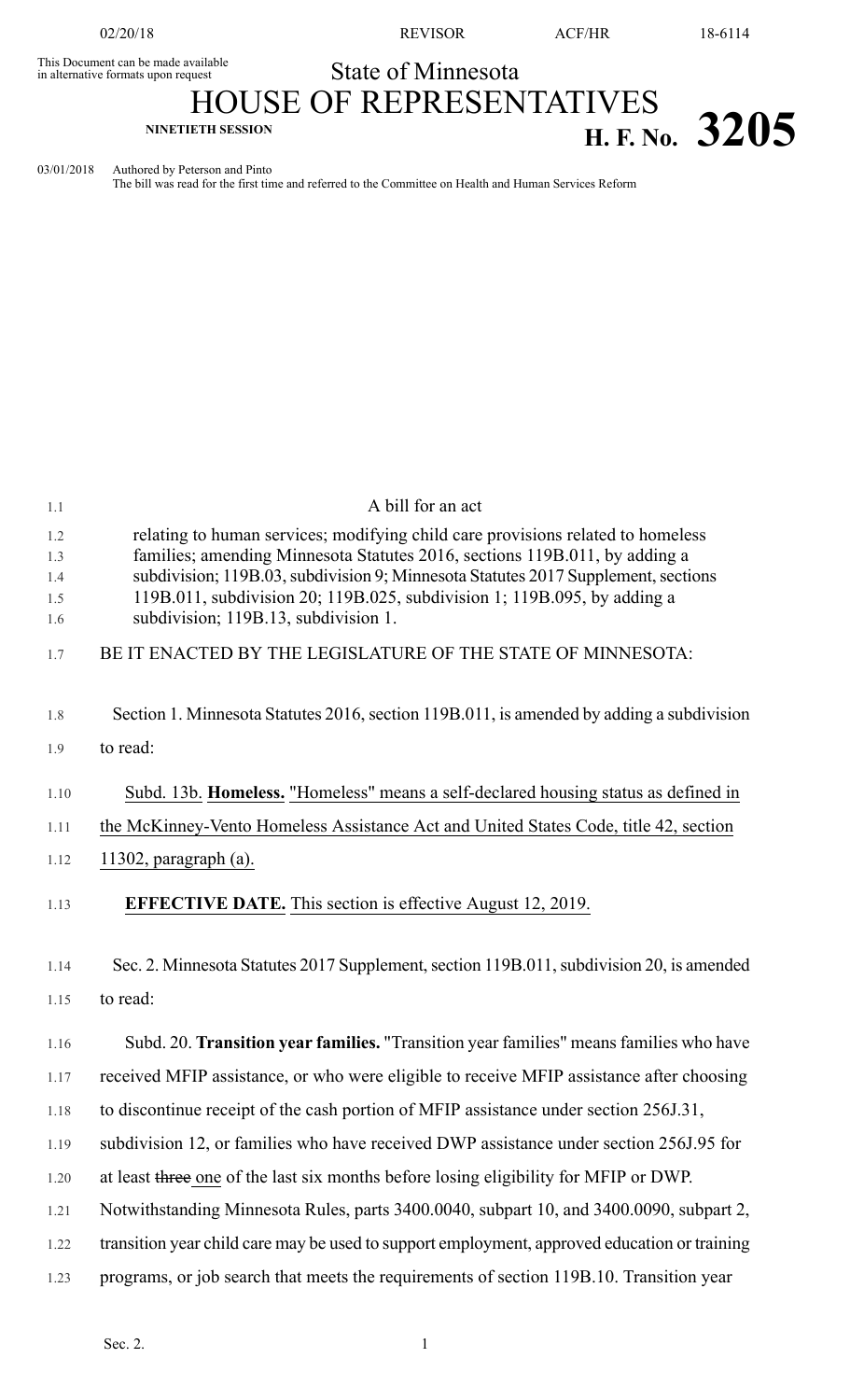02/20/18 REVISOR ACF/HR 18-6114

## State of Minnesota

This Document can be made available<br>in alternative formats upon request

## HOUSE OF REPRESENTATIVES **NINETIETH SESSION H. F. No. 3205**

03/01/2018 Authored by Peterson and Pinto

The bill was read for the first time and referred to the Committee on Health and Human Services Reform

| 1.1               | A bill for an act                                                                                                                                                                                                                                  |
|-------------------|----------------------------------------------------------------------------------------------------------------------------------------------------------------------------------------------------------------------------------------------------|
| 1.2<br>1.3<br>1.4 | relating to human services; modifying child care provisions related to homeless<br>families; amending Minnesota Statutes 2016, sections 119B.011, by adding a<br>subdivision; 119B.03, subdivision 9; Minnesota Statutes 2017 Supplement, sections |
| 1.5<br>1.6        | 119B.011, subdivision 20; 119B.025, subdivision 1; 119B.095, by adding a<br>subdivision; 119B.13, subdivision 1.                                                                                                                                   |
| 1.7               | BE IT ENACTED BY THE LEGISLATURE OF THE STATE OF MINNESOTA:                                                                                                                                                                                        |
| 1.8               | Section 1. Minnesota Statutes 2016, section 119B.011, is amended by adding a subdivision                                                                                                                                                           |
| 1.9               | to read:                                                                                                                                                                                                                                           |
| 1.10              | Subd. 13b. Homeless. "Homeless" means a self-declared housing status as defined in                                                                                                                                                                 |
| 1.11              | the McKinney-Vento Homeless Assistance Act and United States Code, title 42, section                                                                                                                                                               |
| 1.12              | 11302, paragraph $(a)$ .                                                                                                                                                                                                                           |
| 1.13              | <b>EFFECTIVE DATE.</b> This section is effective August 12, 2019.                                                                                                                                                                                  |
| 1.14              | Sec. 2. Minnesota Statutes 2017 Supplement, section 119B.011, subdivision 20, is amended                                                                                                                                                           |
| 1.15              | to read:                                                                                                                                                                                                                                           |
| 1.16              | Subd. 20. Transition year families. "Transition year families" means families who have                                                                                                                                                             |
| 1.17              | received MFIP assistance, or who were eligible to receive MFIP assistance after choosing                                                                                                                                                           |
| 1.18              | to discontinue receipt of the cash portion of MFIP assistance under section 256J.31,                                                                                                                                                               |
| 1.19              | subdivision 12, or families who have received DWP assistance under section 256J.95 for                                                                                                                                                             |
| 1.20              | at least three one of the last six months before losing eligibility for MFIP or DWP.                                                                                                                                                               |
| 1.21              | Notwithstanding Minnesota Rules, parts 3400.0040, subpart 10, and 3400.0090, subpart 2,                                                                                                                                                            |
| 1.22              | transition year child care may be used to support employment, approved education or training                                                                                                                                                       |
| 1.23              | programs, or job search that meets the requirements of section 119B.10. Transition year                                                                                                                                                            |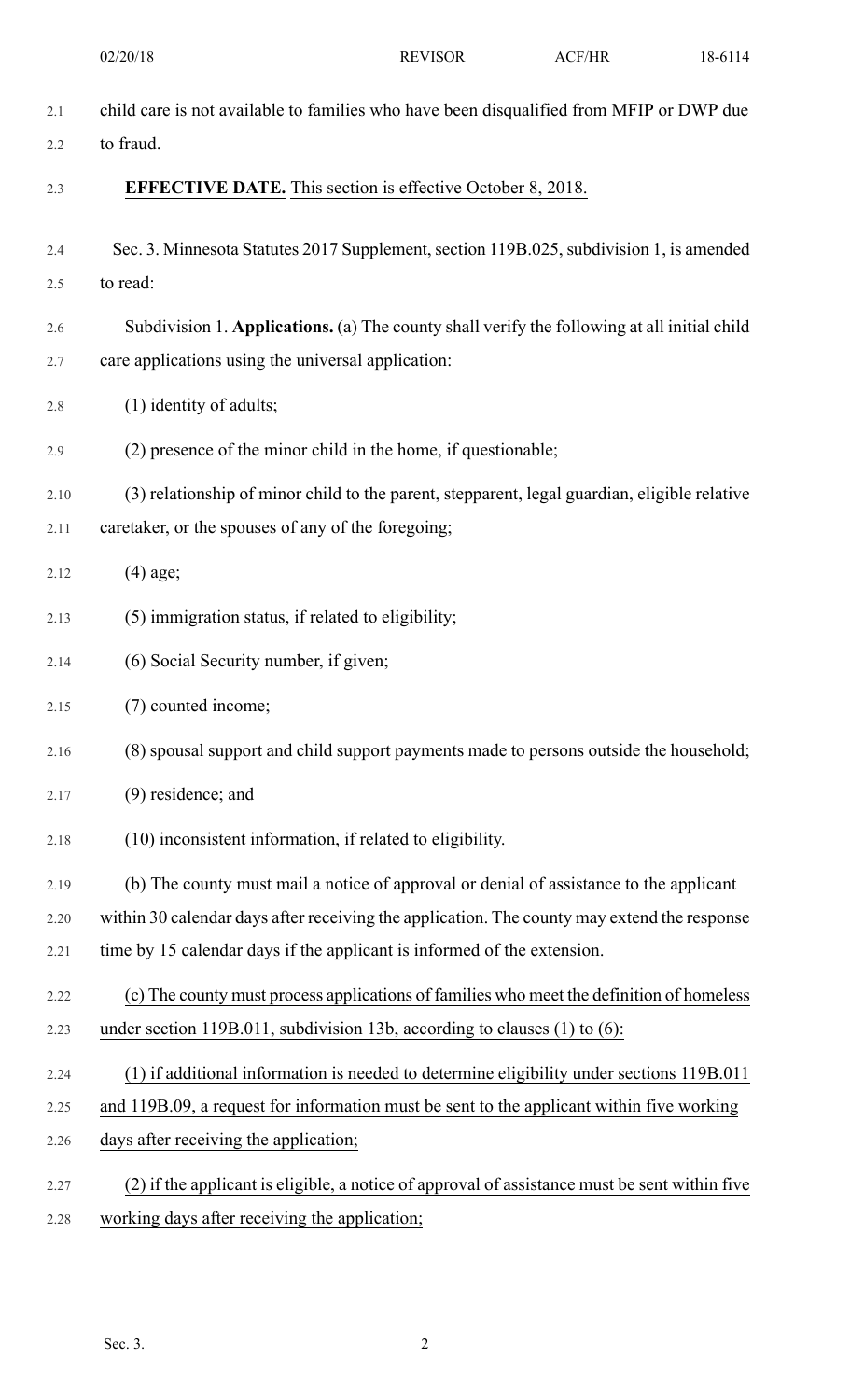|      | 02/20/18                                                                                      | <b>REVISOR</b> | ACF/HR | 18-6114 |
|------|-----------------------------------------------------------------------------------------------|----------------|--------|---------|
| 2.1  | child care is not available to families who have been disqualified from MFIP or DWP due       |                |        |         |
| 2.2  | to fraud.                                                                                     |                |        |         |
| 2.3  | <b>EFFECTIVE DATE.</b> This section is effective October 8, 2018.                             |                |        |         |
| 2.4  | Sec. 3. Minnesota Statutes 2017 Supplement, section 119B.025, subdivision 1, is amended       |                |        |         |
| 2.5  | to read:                                                                                      |                |        |         |
| 2.6  | Subdivision 1. Applications. (a) The county shall verify the following at all initial child   |                |        |         |
| 2.7  | care applications using the universal application:                                            |                |        |         |
| 2.8  | (1) identity of adults;                                                                       |                |        |         |
| 2.9  | (2) presence of the minor child in the home, if questionable;                                 |                |        |         |
| 2.10 | (3) relationship of minor child to the parent, stepparent, legal guardian, eligible relative  |                |        |         |
| 2.11 | caretaker, or the spouses of any of the foregoing;                                            |                |        |         |
| 2.12 | $(4)$ age;                                                                                    |                |        |         |
| 2.13 | (5) immigration status, if related to eligibility;                                            |                |        |         |
| 2.14 | (6) Social Security number, if given;                                                         |                |        |         |
| 2.15 | (7) counted income;                                                                           |                |        |         |
| 2.16 | (8) spousal support and child support payments made to persons outside the household;         |                |        |         |
| 2.17 | $(9)$ residence; and                                                                          |                |        |         |
| 2.18 | (10) inconsistent information, if related to eligibility.                                     |                |        |         |
| 2.19 | (b) The county must mail a notice of approval or denial of assistance to the applicant        |                |        |         |
| 2.20 | within 30 calendar days after receiving the application. The county may extend the response   |                |        |         |
| 2.21 | time by 15 calendar days if the applicant is informed of the extension.                       |                |        |         |
| 2.22 | (c) The county must process applications of families who meet the definition of homeless      |                |        |         |
| 2.23 | under section 119B.011, subdivision 13b, according to clauses $(1)$ to $(6)$ :                |                |        |         |
| 2.24 | (1) if additional information is needed to determine eligibility under sections 119B.011      |                |        |         |
| 2.25 | and 119B.09, a request for information must be sent to the applicant within five working      |                |        |         |
| 2.26 | days after receiving the application;                                                         |                |        |         |
| 2.27 | (2) if the applicant is eligible, a notice of approval of assistance must be sent within five |                |        |         |
| 2.28 | working days after receiving the application;                                                 |                |        |         |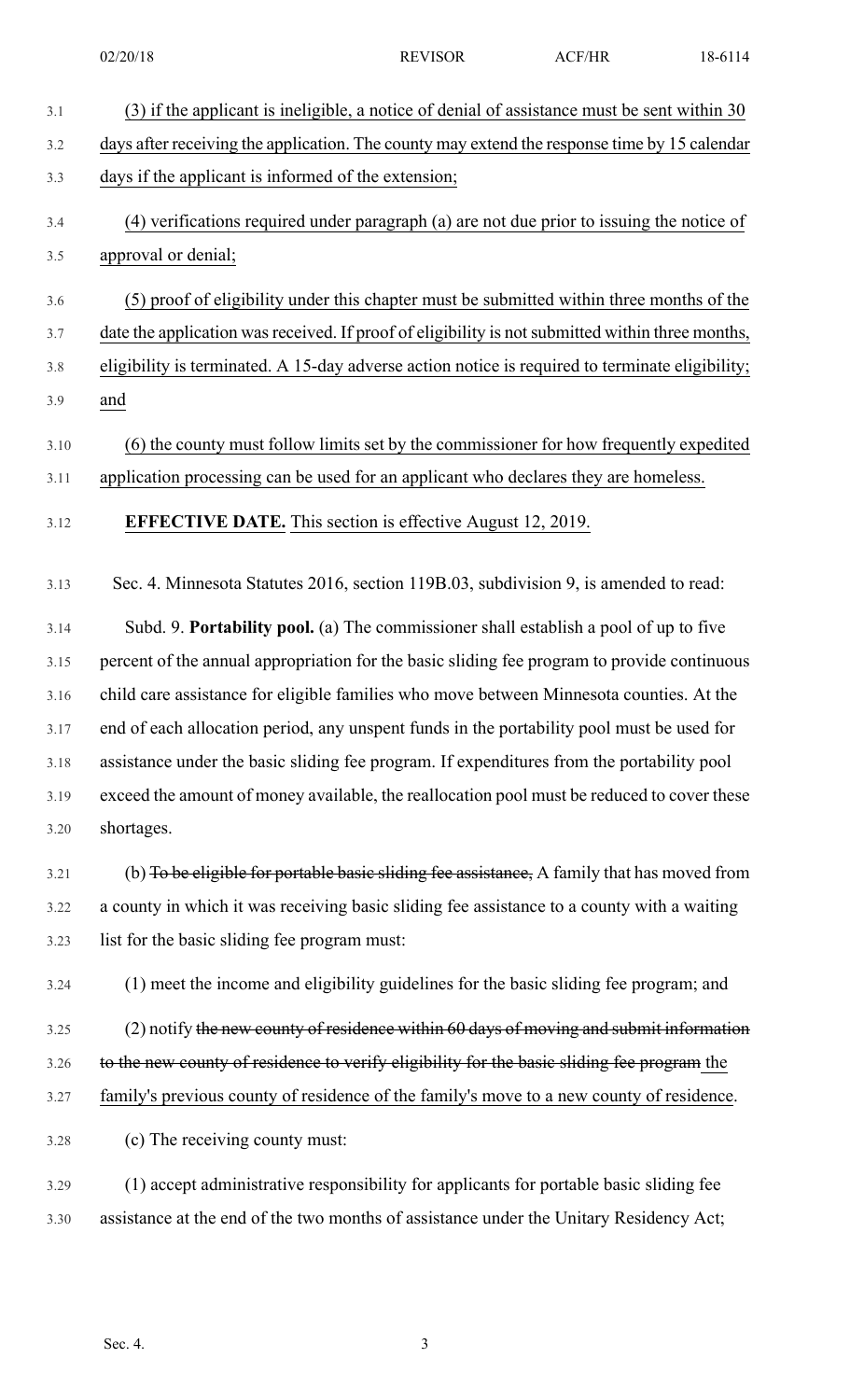| 3.1  | (3) if the applicant is ineligible, a notice of denial of assistance must be sent within 30      |
|------|--------------------------------------------------------------------------------------------------|
| 3.2  | days after receiving the application. The county may extend the response time by 15 calendar     |
| 3.3  | days if the applicant is informed of the extension;                                              |
| 3.4  | (4) verifications required under paragraph (a) are not due prior to issuing the notice of        |
| 3.5  | approval or denial;                                                                              |
| 3.6  | (5) proof of eligibility under this chapter must be submitted within three months of the         |
| 3.7  | date the application was received. If proof of eligibility is not submitted within three months, |
| 3.8  | eligibility is terminated. A 15-day adverse action notice is required to terminate eligibility;  |
| 3.9  | and                                                                                              |
| 3.10 | (6) the county must follow limits set by the commissioner for how frequently expedited           |
| 3.11 | application processing can be used for an applicant who declares they are homeless.              |
| 3.12 | <b>EFFECTIVE DATE.</b> This section is effective August 12, 2019.                                |
| 3.13 | Sec. 4. Minnesota Statutes 2016, section 119B.03, subdivision 9, is amended to read:             |
| 3.14 | Subd. 9. Portability pool. (a) The commissioner shall establish a pool of up to five             |
| 3.15 | percent of the annual appropriation for the basic sliding fee program to provide continuous      |
| 3.16 | child care assistance for eligible families who move between Minnesota counties. At the          |
| 3.17 | end of each allocation period, any unspent funds in the portability pool must be used for        |
| 3.18 | assistance under the basic sliding fee program. If expenditures from the portability pool        |
| 3.19 | exceed the amount of money available, the reallocation pool must be reduced to cover these       |
| 3.20 | shortages.                                                                                       |
| 3.21 | (b) To be eligible for portable basic sliding fee assistance, A family that has moved from       |
| 3.22 | a county in which it was receiving basic sliding fee assistance to a county with a waiting       |
| 3.23 | list for the basic sliding fee program must:                                                     |
| 3.24 | (1) meet the income and eligibility guidelines for the basic sliding fee program; and            |
| 3.25 | (2) notify the new county of residence within 60 days of moving and submit information           |
| 3.26 | to the new county of residence to verify eligibility for the basic sliding fee program the       |
| 3.27 | family's previous county of residence of the family's move to a new county of residence.         |
| 3.28 | (c) The receiving county must:                                                                   |
| 3.29 | (1) accept administrative responsibility for applicants for portable basic sliding fee           |
| 3.30 | assistance at the end of the two months of assistance under the Unitary Residency Act;           |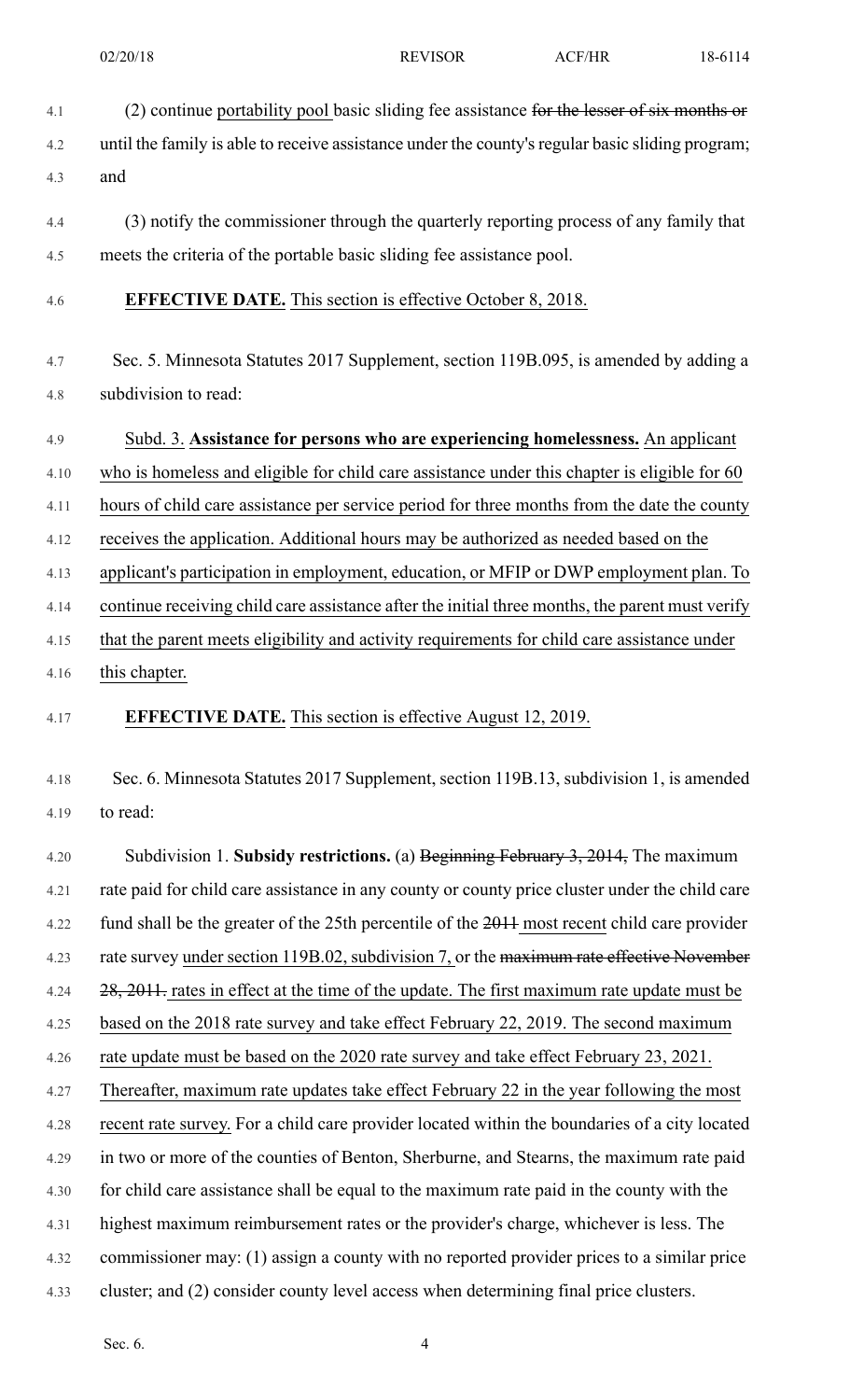- 
- 4.1 (2) continue portability pool basic sliding fee assistance for the lesser of six months or 4.2 until the family is able to receive assistance under the county'sregular basic sliding program; 4.3 and 4.4 (3) notify the commissioner through the quarterly reporting process of any family that 4.5 meets the criteria of the portable basic sliding fee assistance pool. 4.6 **EFFECTIVE DATE.** This section is effective October 8, 2018. 4.7 Sec. 5. Minnesota Statutes 2017 Supplement, section 119B.095, is amended by adding a 4.8 subdivision to read: 4.9 Subd. 3. **Assistance for persons who are experiencing homelessness.** An applicant 4.10 who is homeless and eligible for child care assistance under this chapter is eligible for 60 4.11 hours of child care assistance per service period for three months from the date the county 4.12 receives the application. Additional hours may be authorized as needed based on the 4.13 applicant's participation in employment, education, or MFIP or DWP employment plan. To 4.14 continue receiving child care assistance after the initial three months, the parent must verify 4.15 that the parent meets eligibility and activity requirements for child care assistance under 4.16 this chapter. 4.17 **EFFECTIVE DATE.** This section is effective August 12, 2019. 02/20/18 **REVISOR** ACF/HR 18-6114

4.18 Sec. 6. Minnesota Statutes 2017 Supplement, section 119B.13, subdivision 1, is amended 4.19 to read:

4.20 Subdivision 1. **Subsidy restrictions.** (a) Beginning February 3, 2014, The maximum 4.21 rate paid for child care assistance in any county or county price cluster under the child care 4.22 fund shall be the greater of the 25th percentile of the 2011 most recent child care provider 4.23 rate survey under section 119B.02, subdivision 7, or the maximum rate effective November 4.24 28, 2011. rates in effect at the time of the update. The first maximum rate update must be 4.25 based on the 2018 rate survey and take effect February 22, 2019. The second maximum 4.26 rate update must be based on the 2020 rate survey and take effect February 23, 2021. 4.27 Thereafter, maximum rate updates take effect February 22 in the year following the most 4.28 recent rate survey. For a child care provider located within the boundaries of a city located 4.29 in two or more of the counties of Benton, Sherburne, and Stearns, the maximum rate paid 4.30 for child care assistance shall be equal to the maximum rate paid in the county with the 4.31 highest maximum reimbursement rates or the provider's charge, whichever is less. The 4.32 commissioner may: (1) assign a county with no reported provider prices to a similar price 4.33 cluster; and (2) consider county level access when determining final price clusters.

Sec.  $6.4$